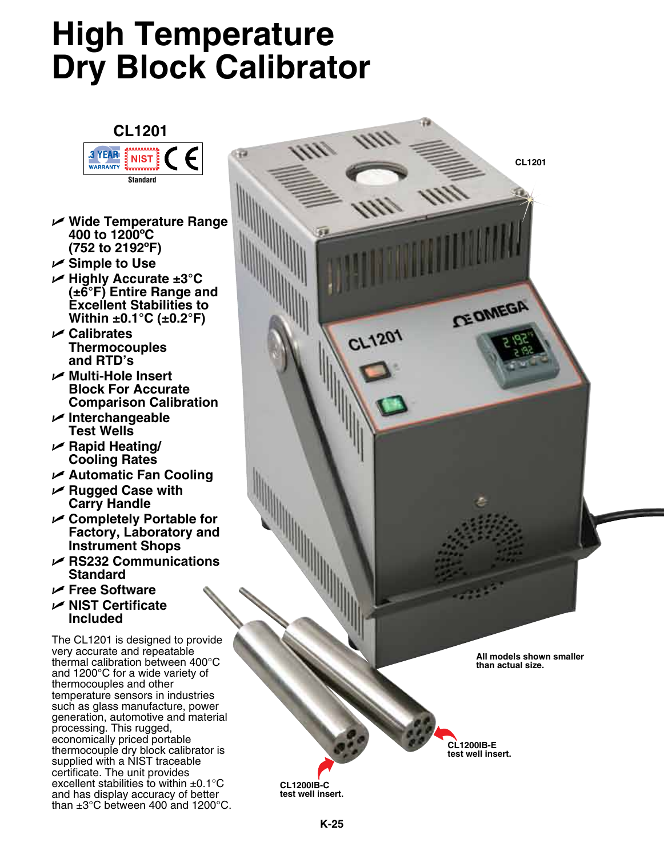## **High Temperature Dry Block Calibrator**



- U **Wide Temperature Range 400 to 1200ºC (752 to 2192ºF)**
- U **Simple to Use**
- U **Highly Accurate ±3°C (±6°F) Entire Range and Excellent Stabilities to Within ±0.1°C (±0.2°F)**
- U **Calibrates Thermocouples and RTD's**
- U **Multi-Hole Insert Block For Accurate Comparison Calibration**
- U **Interchangeable Test Wells**
- U **Rapid Heating/ Cooling Rates**
- U **Automatic Fan Cooling**
- U **Rugged Case with Carry Handle**
- U **Completely Portable for Factory, Laboratory and Instrument Shops**
- U **RS232 Communications Standard**
- U **Free Software**
- U**NIST Certificate Included**

The CL1201 is designed to provide very accurate and repeatable thermal calibration between 400°C and 1200°C for a wide variety of thermocouples and other temperature sensors in industries such as glass manufacture, power generation, automotive and material processing. This rugged, economically priced portable thermocouple dry block calibrator is supplied with a NIST traceable certificate. The unit provides excellent stabilities to within  $\pm 0.1^{\circ}$ C and has display accuracy of better than ±3°C between 400 and 1200°C.

**CL1201 CE DIMEGA**  $C L1201$ **All models shown smaller than actual size.**

**CL1200IB-C test well insert.**

**CL1200IB-E test well insert.**